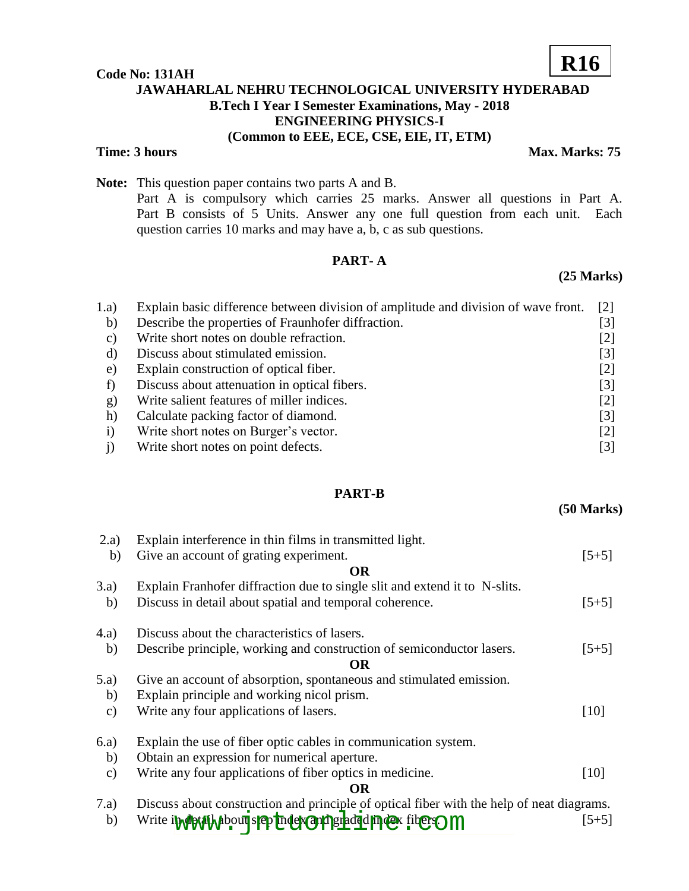#### **Code No: 131AH**

# **JAWAHARLAL NEHRU TECHNOLOGICAL UNIVERSITY HYDERABAD B.Tech I Year I Semester Examinations, May - 2018 ENGINEERING PHYSICS-I (Common to EEE, ECE, CSE, EIE, IT, ETM)**

**Time: 3 hours** Max. Marks: 75

**Note:** This question paper contains two parts A and B. Part A is compulsory which carries 25 marks. Answer all questions in Part A. Part B consists of 5 Units. Answer any one full question from each unit. Each question carries 10 marks and may have a, b, c as sub questions.

# **PART- A**

### **(25 Marks)**

| 1.a)     | Explain basic difference between division of amplitude and division of wave front. | [2]   |
|----------|------------------------------------------------------------------------------------|-------|
| b)       | Describe the properties of Fraunhofer diffraction.                                 | [3]   |
| C)       | Write short notes on double refraction.                                            | [2]   |
| d)       | Discuss about stimulated emission.                                                 | [3]   |
| e)       | Explain construction of optical fiber.                                             | $[2]$ |
|          | Discuss about attenuation in optical fibers.                                       | [3]   |
| g)       | Write salient features of miller indices.                                          | $[2]$ |
| h)       | Calculate packing factor of diamond.                                               | [3]   |
| $\rm i)$ | Write short notes on Burger's vector.                                              | [2]   |
|          | Write short notes on point defects.                                                | [3]   |

## **PART-B**

**(50 Marks)**

| 2.a)          | Explain interference in thin films in transmitted light.                                  |         |
|---------------|-------------------------------------------------------------------------------------------|---------|
| b)            | Give an account of grating experiment.                                                    | $[5+5]$ |
|               | <b>OR</b>                                                                                 |         |
| 3.a)          | Explain Franhofer diffraction due to single slit and extend it to N-slits.                |         |
| b)            | Discuss in detail about spatial and temporal coherence.                                   | $[5+5]$ |
| (4.a)         | Discuss about the characteristics of lasers.                                              |         |
| b)            | Describe principle, working and construction of semiconductor lasers.                     | $[5+5]$ |
|               | <b>OR</b>                                                                                 |         |
| (5.a)         | Give an account of absorption, spontaneous and stimulated emission.                       |         |
| b)            | Explain principle and working nicol prism.                                                |         |
| $\mathbf{c})$ | Write any four applications of lasers.                                                    | $[10]$  |
| 6.a)          | Explain the use of fiber optic cables in communication system.                            |         |
| b)            | Obtain an expression for numerical aperture.                                              |         |
| $\mathbf{c})$ | Write any four applications of fiber optics in medicine.                                  | [10]    |
|               | OR                                                                                        |         |
| 7.a)          | Discuss about construction and principle of optical fiber with the help of neat diagrams. |         |
| b)            | Write in detail about step index out per die dindex fiber om                              | $[5+5]$ |